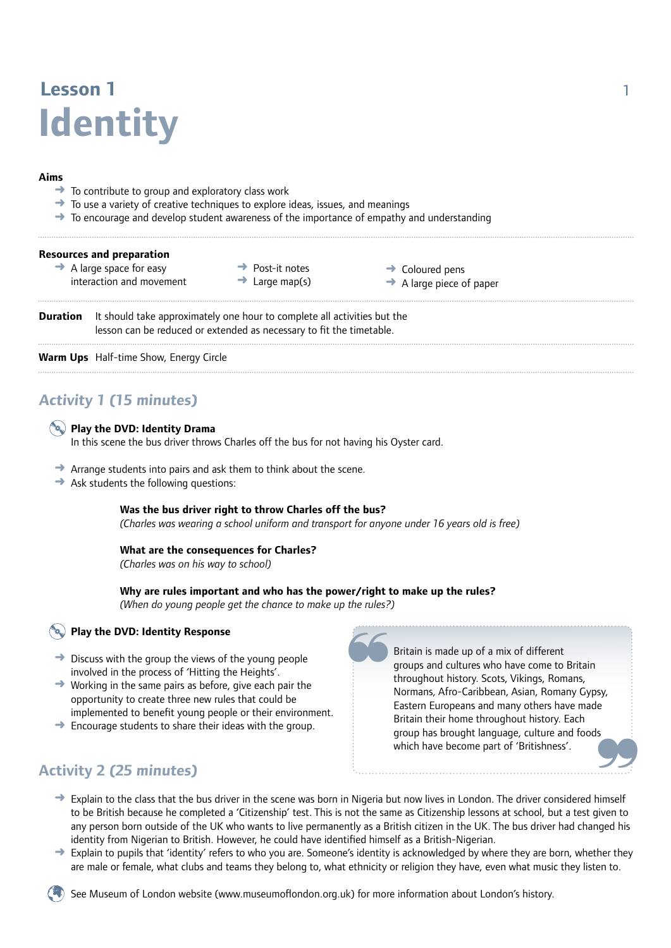# **Lesson 1** 1 **Identity**

#### **Aims**

- To contribute to group and exploratory class work
- ➜ To use a variety of creative techniques to explore ideas, issues, and meanings
- $\rightarrow$  To encourage and develop student awareness of the importance of empathy and understanding

|                 | <b>Resources and preparation</b><br>$\rightarrow$ A large space for easy<br>interaction and movement                                             | Post-it notes<br>$\rightarrow$ Large map(s) | $\rightarrow$ Coloured pens<br>$\rightarrow$ A large piece of paper |  |
|-----------------|--------------------------------------------------------------------------------------------------------------------------------------------------|---------------------------------------------|---------------------------------------------------------------------|--|
| <b>Duration</b> | It should take approximately one hour to complete all activities but the<br>lesson can be reduced or extended as necessary to fit the timetable. |                                             |                                                                     |  |
|                 | <b>Warm Ups</b> Half-time Show, Energy Circle                                                                                                    |                                             |                                                                     |  |

### **Activity 1 (15 minutes)**

#### **Play the DVD: Identity Drama**

In this scene the bus driver throws Charles off the bus for not having his Oyster card.

- **→** Arrange students into pairs and ask them to think about the scene.
- $\rightarrow$  Ask students the following questions:

#### **Was the bus driver right to throw Charles off the bus?**

*(Charles was wearing a school uniform and transport for anyone under 16 years old is free)*

#### **What are the consequences for Charles?**

*(Charles was on his way to school)*

#### **Why are rules important and who has the power/right to make up the rules?**

*(When do young people get the chance to make up the rules?)* 

#### **Play the DVD: Identity Response**

- $\rightarrow$  Discuss with the group the views of the young people involved in the process of 'Hitting the Heights'.
- $\rightarrow$  Working in the same pairs as before, give each pair the opportunity to create three new rules that could be implemented to benefit young people or their environment.
- $\rightarrow$  Encourage students to share their ideas with the group.

### **Activity 2 (25 minutes)**

Britain is made up of a mix of different groups and cultures who have come to Britain throughout history. Scots, Vikings, Romans, Normans, Afro-Caribbean, Asian, Romany Gypsy, Eastern Europeans and many others have made Britain their home throughout history. Each group has brought language, culture and foods which have become part of 'Britishness'.

 $\rightarrow$  Explain to the class that the bus driver in the scene was born in Nigeria but now lives in London. The driver considered himself to be British because he completed a 'Citizenship' test. This is not the same as Citizenship lessons at school, but a test given to any person born outside of the UK who wants to live permanently as a British citizen in the UK. The bus driver had changed his identity from Nigerian to British. However, he could have identified himself as a British-Nigerian.

~

 $\rightarrow$  Explain to pupils that 'identity' refers to who you are. Someone's identity is acknowledged by where they are born, whether they are male or female, what clubs and teams they belong to, what ethnicity or religion they have, even what music they listen to.

See Museum of London website (www.museumoflondon.org.uk) for more information about London's history.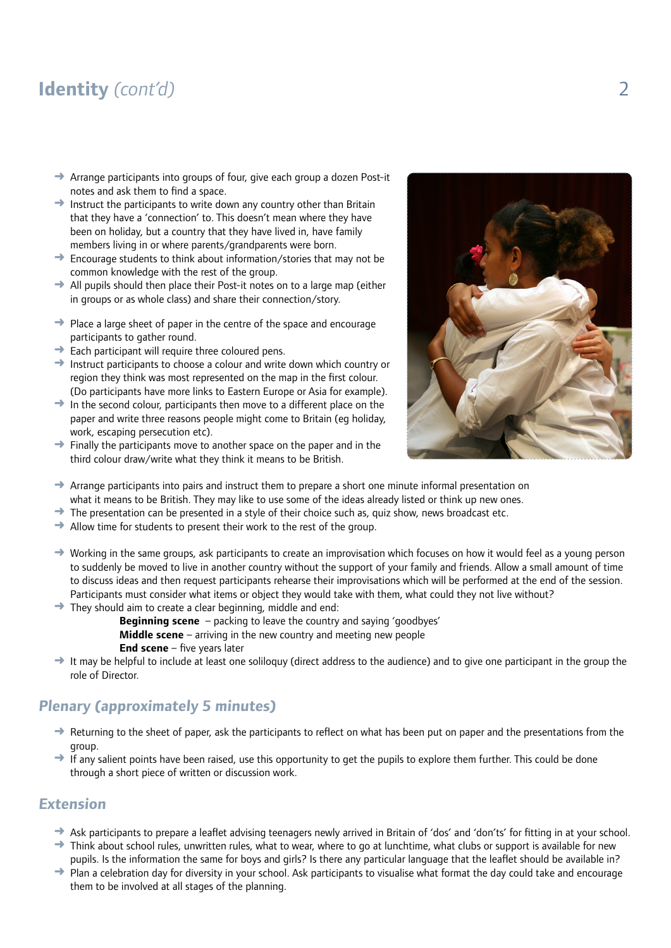## **Identity** *(cont'd)* 2

- Arrange participants into groups of four, give each group a dozen Post-it notes and ask them to find a space.
- $\rightarrow$  Instruct the participants to write down any country other than Britain that they have a 'connection' to. This doesn't mean where they have been on holiday, but a country that they have lived in, have family members living in or where parents/grandparents were born.
- ➜ Encourage students to think about information/stories that may not be common knowledge with the rest of the group.
- $\rightarrow$  All pupils should then place their Post-it notes on to a large map (either in groups or as whole class) and share their connection/story.
- **→** Place a large sheet of paper in the centre of the space and encourage participants to gather round.
- $\rightarrow$  Each participant will require three coloured pens.
- ➜ Instruct participants to choose a colour and write down which country or region they think was most represented on the map in the first colour. (Do participants have more links to Eastern Europe or Asia for example).
- $\rightarrow$  In the second colour, participants then move to a different place on the paper and write three reasons people might come to Britain (eg holiday, work, escaping persecution etc).
- $\rightarrow$  Finally the participants move to another space on the paper and in the third colour draw/write what they think it means to be British.



- $\rightarrow$  Arrange participants into pairs and instruct them to prepare a short one minute informal presentation on what it means to be British. They may like to use some of the ideas already listed or think up new ones.
- $\rightarrow$  The presentation can be presented in a style of their choice such as, quiz show, news broadcast etc.
- $\rightarrow$  Allow time for students to present their work to the rest of the group.
- $\rightarrow$  Working in the same groups, ask participants to create an improvisation which focuses on how it would feel as a young person to suddenly be moved to live in another country without the support of your family and friends. Allow a small amount of time to discuss ideas and then request participants rehearse their improvisations which will be performed at the end of the session. Participants must consider what items or object they would take with them, what could they not live without?
- $\rightarrow$  They should aim to create a clear beginning, middle and end:
	- **Beginning scene** packing to leave the country and saying 'goodbyes'
	- **Middle scene** arriving in the new country and meeting new people
	- **End scene** five years later
- $\rightarrow$  It may be helpful to include at least one soliloquy (direct address to the audience) and to give one participant in the group the role of Director.

### **Plenary (approximately 5 minutes)**

- → Returning to the sheet of paper, ask the participants to reflect on what has been put on paper and the presentations from the group.
- $\rightarrow$  If any salient points have been raised, use this opportunity to get the pupils to explore them further. This could be done through a short piece of written or discussion work.

#### **Extension**

- ➜ Ask participants to prepare a leaflet advising teenagers newly arrived in Britain of 'dos' and 'don'ts' for fitting in at your school.
- $\rightarrow$  Think about school rules, unwritten rules, what to wear, where to go at lunchtime, what clubs or support is available for new pupils. Is the information the same for boys and girls? Is there any particular language that the leaflet should be available in?
- → Plan a celebration day for diversity in your school. Ask participants to visualise what format the day could take and encourage them to be involved at all stages of the planning.